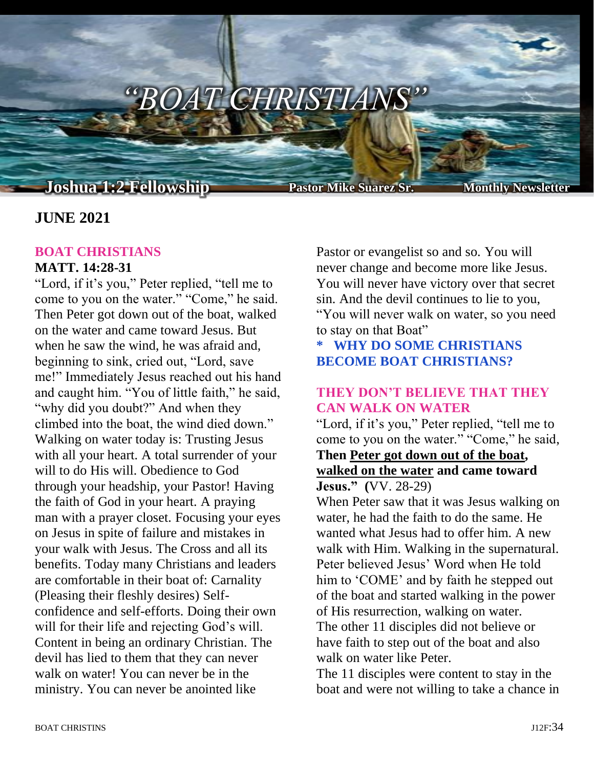

# **JUNE 2021**

#### **BOAT CHRISTIANS MATT. 14:28-31**

"Lord, if it's you," Peter replied, "tell me to come to you on the water." "Come," he said. Then Peter got down out of the boat, walked on the water and came toward Jesus. But when he saw the wind, he was afraid and, beginning to sink, cried out, "Lord, save me!" Immediately Jesus reached out his hand and caught him. "You of little faith," he said, "why did you doubt?" And when they climbed into the boat, the wind died down." Walking on water today is: Trusting Jesus with all your heart. A total surrender of your will to do His will. Obedience to God through your headship, your Pastor! Having the faith of God in your heart. A praying man with a prayer closet. Focusing your eyes on Jesus in spite of failure and mistakes in your walk with Jesus. The Cross and all its benefits. Today many Christians and leaders are comfortable in their boat of: Carnality (Pleasing their fleshly desires) Selfconfidence and self-efforts. Doing their own will for their life and rejecting God's will. Content in being an ordinary Christian. The devil has lied to them that they can never walk on water! You can never be in the ministry. You can never be anointed like

Pastor or evangelist so and so. You will never change and become more like Jesus. You will never have victory over that secret sin. And the devil continues to lie to you, "You will never walk on water, so you need to stay on that Boat"

# **\* WHY DO SOME CHRISTIANS BECOME BOAT CHRISTIANS?**

### **THEY DON'T BELIEVE THAT THEY CAN WALK ON WATER**

"Lord, if it's you," Peter replied, "tell me to come to you on the water." "Come," he said,

#### **Then Peter got down out of the boat, walked on the water and came toward Jesus." (**VV. 28-29)

When Peter saw that it was Jesus walking on water, he had the faith to do the same. He wanted what Jesus had to offer him. A new walk with Him. Walking in the supernatural. Peter believed Jesus' Word when He told him to 'COME' and by faith he stepped out of the boat and started walking in the power of His resurrection, walking on water. The other 11 disciples did not believe or have faith to step out of the boat and also walk on water like Peter.

The 11 disciples were content to stay in the boat and were not willing to take a chance in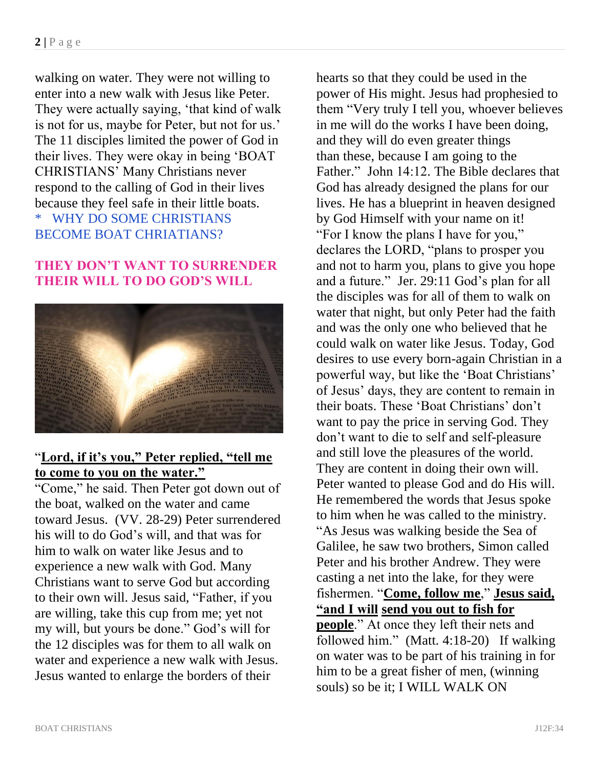walking on water. They were not willing to enter into a new walk with Jesus like Peter. They were actually saying, 'that kind of walk is not for us, maybe for Peter, but not for us.' The 11 disciples limited the power of God in their lives. They were okay in being 'BOAT CHRISTIANS' Many Christians never respond to the calling of God in their lives because they feel safe in their little boats. \* WHY DO SOME CHRISTIANS BECOME BOAT CHRIATIANS?

## **THEY DON'T WANT TO SURRENDER THEIR WILL TO DO GOD'S WILL**



## "**Lord, if it's you," Peter replied, "tell me to come to you on the water."**

"Come," he said. Then Peter got down out of the boat, walked on the water and came toward Jesus. (VV. 28-29) Peter surrendered his will to do God's will, and that was for him to walk on water like Jesus and to experience a new walk with God. Many Christians want to serve God but according to their own will. Jesus said, "Father, if you are willing, take this cup from me; yet not my will, but yours be done." God's will for the 12 disciples was for them to all walk on water and experience a new walk with Jesus. Jesus wanted to enlarge the borders of their

hearts so that they could be used in the power of His might. Jesus had prophesied to them "Very truly I tell you, whoever believes in me will do the works I have been doing, and they will do even greater things than these, because I am going to the Father." John 14:12. The Bible declares that God has already designed the plans for our lives. He has a blueprint in heaven designed by God Himself with your name on it! "For I know the plans I have for you," declares the LORD, "plans to prosper you and not to harm you, plans to give you hope and a future." Jer. 29:11 God's plan for all the disciples was for all of them to walk on water that night, but only Peter had the faith and was the only one who believed that he could walk on water like Jesus. Today, God desires to use every born-again Christian in a powerful way, but like the 'Boat Christians' of Jesus' days, they are content to remain in their boats. These 'Boat Christians' don't want to pay the price in serving God. They don't want to die to self and self-pleasure and still love the pleasures of the world. They are content in doing their own will. Peter wanted to please God and do His will. He remembered the words that Jesus spoke to him when he was called to the ministry. "As Jesus was walking beside the Sea of Galilee, he saw two brothers, Simon called Peter and his brother Andrew. They were casting a net into the lake, for they were fishermen. "**Come, follow me**," **Jesus said, "and I will send you out to fish for people**." At once they left their nets and followed him." (Matt. 4:18-20) If walking on water was to be part of his training in for him to be a great fisher of men, (winning souls) so be it; I WILL WALK ON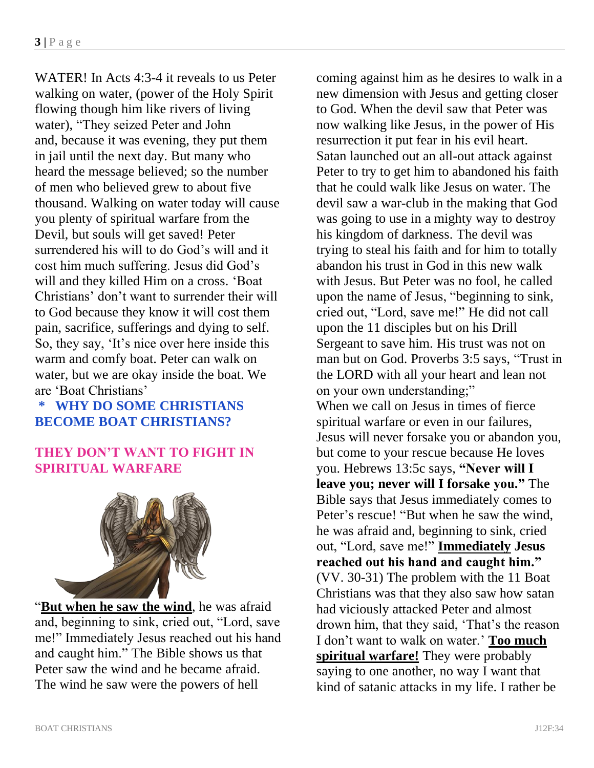WATER! In Acts 4:3-4 it reveals to us Peter walking on water, (power of the Holy Spirit flowing though him like rivers of living water), "They seized Peter and John and, because it was evening, they put them in jail until the next day. But many who heard the message believed; so the number of men who believed grew to about five thousand. Walking on water today will cause you plenty of spiritual warfare from the Devil, but souls will get saved! Peter surrendered his will to do God's will and it cost him much suffering. Jesus did God's will and they killed Him on a cross. 'Boat Christians' don't want to surrender their will to God because they know it will cost them pain, sacrifice, sufferings and dying to self. So, they say, 'It's nice over here inside this warm and comfy boat. Peter can walk on water, but we are okay inside the boat. We are 'Boat Christians'

## **\* WHY DO SOME CHRISTIANS BECOME BOAT CHRISTIANS?**

### **THEY DON'T WANT TO FIGHT IN SPIRITUAL WARFARE**



"**But when he saw the wind**, he was afraid and, beginning to sink, cried out, "Lord, save me!" Immediately Jesus reached out his hand and caught him." The Bible shows us that Peter saw the wind and he became afraid. The wind he saw were the powers of hell

coming against him as he desires to walk in a new dimension with Jesus and getting closer to God. When the devil saw that Peter was now walking like Jesus, in the power of His resurrection it put fear in his evil heart. Satan launched out an all-out attack against Peter to try to get him to abandoned his faith that he could walk like Jesus on water. The devil saw a war-club in the making that God was going to use in a mighty way to destroy his kingdom of darkness. The devil was trying to steal his faith and for him to totally abandon his trust in God in this new walk with Jesus. But Peter was no fool, he called upon the name of Jesus, "beginning to sink, cried out, "Lord, save me!" He did not call upon the 11 disciples but on his Drill Sergeant to save him. His trust was not on man but on God. Proverbs 3:5 says, "Trust in the LORD with all your heart and lean not on your own understanding;" When we call on Jesus in times of fierce spiritual warfare or even in our failures, Jesus will never forsake you or abandon you, but come to your rescue because He loves you. Hebrews 13:5c says, **"Never will I leave you; never will I forsake you."** The Bible says that Jesus immediately comes to Peter's rescue! "But when he saw the wind. he was afraid and, beginning to sink, cried out, "Lord, save me!" **Immediately Jesus reached out his hand and caught him."** (VV. 30-31) The problem with the 11 Boat Christians was that they also saw how satan had viciously attacked Peter and almost drown him, that they said, 'That's the reason I don't want to walk on water.' **Too much spiritual warfare!** They were probably saying to one another, no way I want that kind of satanic attacks in my life. I rather be